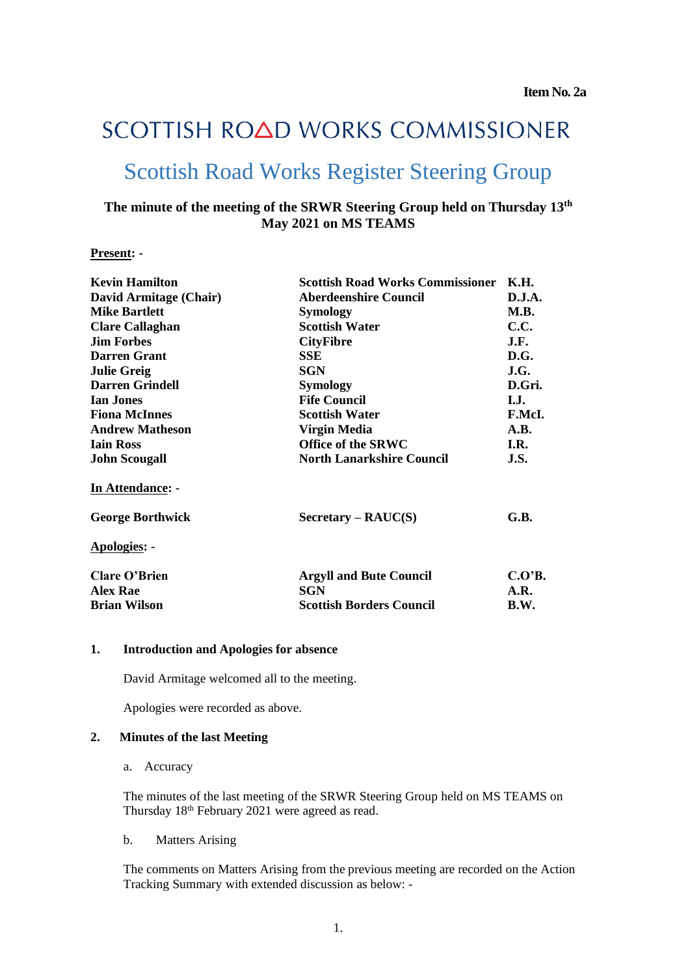# SCOTTISH ROAD WORKS COMMISSIONER

# Scottish Road Works Register Steering Group

## **The minute of the meeting of the SRWR Steering Group held on Thursday 13 th May 2021 on MS TEAMS**

#### **Present: -**

| <b>Kevin Hamilton</b>   | <b>Scottish Road Works Commissioner</b>           | К.Н.   |
|-------------------------|---------------------------------------------------|--------|
| David Armitage (Chair)  | <b>Aberdeenshire Council</b>                      | D.J.A. |
| <b>Mike Bartlett</b>    | <b>Symology</b>                                   | M.B.   |
| <b>Clare Callaghan</b>  | <b>Scottish Water</b>                             | C.C.   |
| <b>Jim Forbes</b>       | <b>CityFibre</b>                                  | J.F.   |
| <b>Darren Grant</b>     | SSE                                               | D.G.   |
| <b>Julie Greig</b>      | <b>SGN</b>                                        | J.G.   |
| <b>Darren Grindell</b>  | Symology                                          | D.Gri. |
| <b>Ian Jones</b>        | <b>Fife Council</b>                               | I.J.   |
| <b>Fiona McInnes</b>    | <b>Scottish Water</b>                             | F.McI. |
| <b>Andrew Matheson</b>  | Virgin Media                                      | A.B.   |
| <b>Iain Ross</b>        | <b>Office of the SRWC</b>                         | I.R.   |
| <b>John Scougall</b>    | <b>North Lanarkshire Council</b>                  | J.S.   |
| In Attendance: -        |                                                   |        |
| <b>George Borthwick</b> | $S \, \text{ecc} \, \text{cary} - \text{RAUC}(S)$ | G.B.   |
| <b>Apologies: -</b>     |                                                   |        |
| <b>Clare O'Brien</b>    | <b>Argyll and Bute Council</b>                    | C.O'B. |
| <b>Alex Rae</b>         | SGN                                               | A.R.   |
| <b>Brian Wilson</b>     | <b>Scottish Borders Council</b>                   | B.W.   |
|                         |                                                   |        |

#### **1. Introduction and Apologies for absence**

David Armitage welcomed all to the meeting.

Apologies were recorded as above.

#### **2. Minutes of the last Meeting**

a. Accuracy

The minutes of the last meeting of the SRWR Steering Group held on MS TEAMS on Thursday 18th February 2021 were agreed as read.

b. Matters Arising

The comments on Matters Arising from the previous meeting are recorded on the Action Tracking Summary with extended discussion as below: -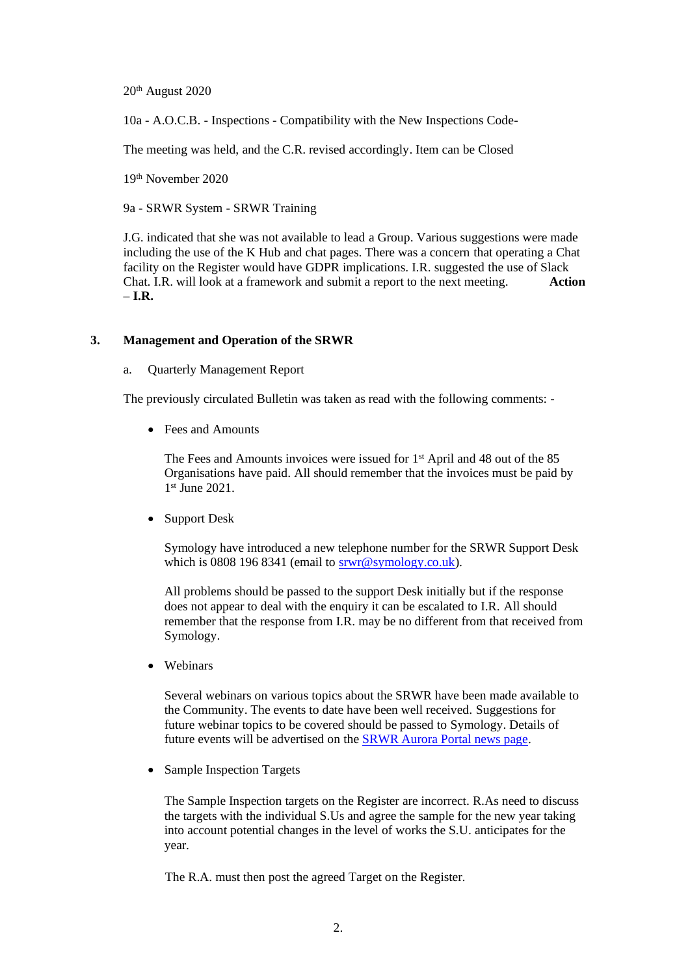20th August 2020

10a - A.O.C.B. - Inspections - Compatibility with the New Inspections Code-

The meeting was held, and the C.R. revised accordingly. Item can be Closed

19th November 2020

9a - SRWR System - SRWR Training

J.G. indicated that she was not available to lead a Group. Various suggestions were made including the use of the K Hub and chat pages. There was a concern that operating a Chat facility on the Register would have GDPR implications. I.R. suggested the use of Slack Chat. I.R. will look at a framework and submit a report to the next meeting. **Action – I.R.**

#### **3. Management and Operation of the SRWR**

a. Quarterly Management Report

The previously circulated Bulletin was taken as read with the following comments: -

• Fees and Amounts

The Fees and Amounts invoices were issued for 1<sup>st</sup> April and 48 out of the 85 Organisations have paid. All should remember that the invoices must be paid by 1 st June 2021.

• Support Desk

Symology have introduced a new telephone number for the SRWR Support Desk which is 0808 196 8341 (email to [srwr@symology.co.uk\)](mailto:srwr@symology.co.uk).

All problems should be passed to the support Desk initially but if the response does not appear to deal with the enquiry it can be escalated to I.R. All should remember that the response from I.R. may be no different from that received from Symology.

• Webinars

Several webinars on various topics about the SRWR have been made available to the Community. The events to date have been well received. Suggestions for future webinar topics to be covered should be passed to Symology. Details of future events will be advertised on the [SRWR Aurora Portal news page.](https://aurora-portal.symology.net/news)

• Sample Inspection Targets

The Sample Inspection targets on the Register are incorrect. R.As need to discuss the targets with the individual S.Us and agree the sample for the new year taking into account potential changes in the level of works the S.U. anticipates for the year.

The R.A. must then post the agreed Target on the Register.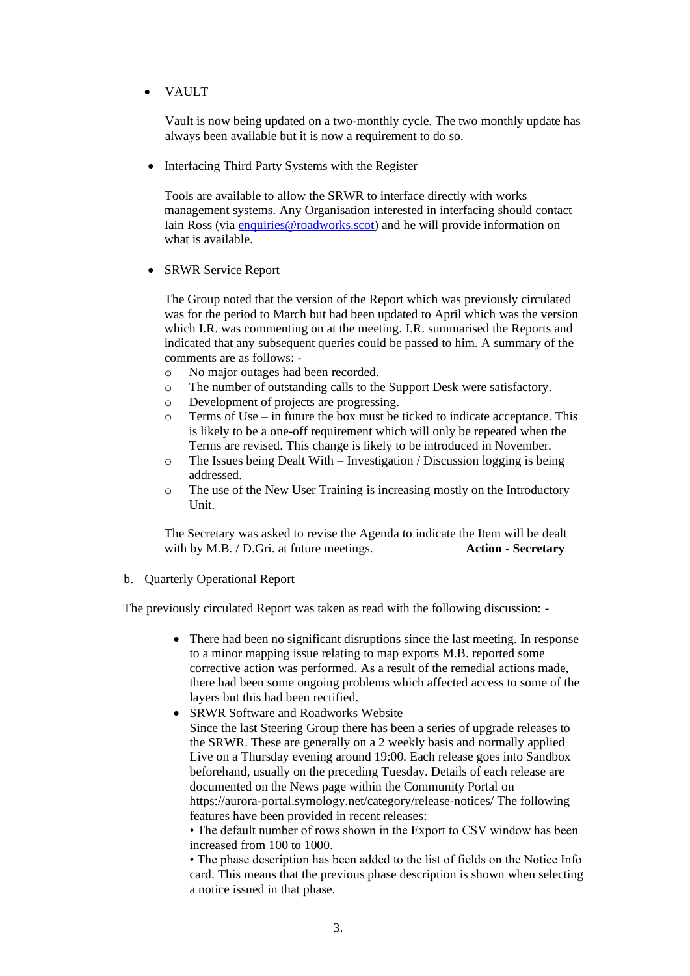• VAULT

Vault is now being updated on a two-monthly cycle. The two monthly update has always been available but it is now a requirement to do so.

• Interfacing Third Party Systems with the Register

Tools are available to allow the SRWR to interface directly with works management systems. Any Organisation interested in interfacing should contact Iain Ross (via [enquiries@roadworks.scot\)](mailto:enquiries@roadworks.scot) and he will provide information on what is available.

• SRWR Service Report

The Group noted that the version of the Report which was previously circulated was for the period to March but had been updated to April which was the version which I.R. was commenting on at the meeting. I.R. summarised the Reports and indicated that any subsequent queries could be passed to him. A summary of the comments are as follows: -

- o No major outages had been recorded.
- o The number of outstanding calls to the Support Desk were satisfactory.
- o Development of projects are progressing.
- $\circ$  Terms of Use in future the box must be ticked to indicate acceptance. This is likely to be a one-off requirement which will only be repeated when the Terms are revised. This change is likely to be introduced in November.
- o The Issues being Dealt With Investigation / Discussion logging is being addressed.
- o The use of the New User Training is increasing mostly on the Introductory Unit.

The Secretary was asked to revise the Agenda to indicate the Item will be dealt with by M.B. / D.Gri. at future meetings. **Action - Secretary**

b. Quarterly Operational Report

The previously circulated Report was taken as read with the following discussion: -

- There had been no significant disruptions since the last meeting. In response to a minor mapping issue relating to map exports M.B. reported some corrective action was performed. As a result of the remedial actions made, there had been some ongoing problems which affected access to some of the layers but this had been rectified.
- SRWR Software and Roadworks Website Since the last Steering Group there has been a series of upgrade releases to the SRWR. These are generally on a 2 weekly basis and normally applied Live on a Thursday evening around 19:00. Each release goes into Sandbox beforehand, usually on the preceding Tuesday. Details of each release are documented on the News page within the Community Portal on https://aurora-portal.symology.net/category/release-notices/ The following features have been provided in recent releases:

• The default number of rows shown in the Export to CSV window has been increased from 100 to 1000.

• The phase description has been added to the list of fields on the Notice Info card. This means that the previous phase description is shown when selecting a notice issued in that phase.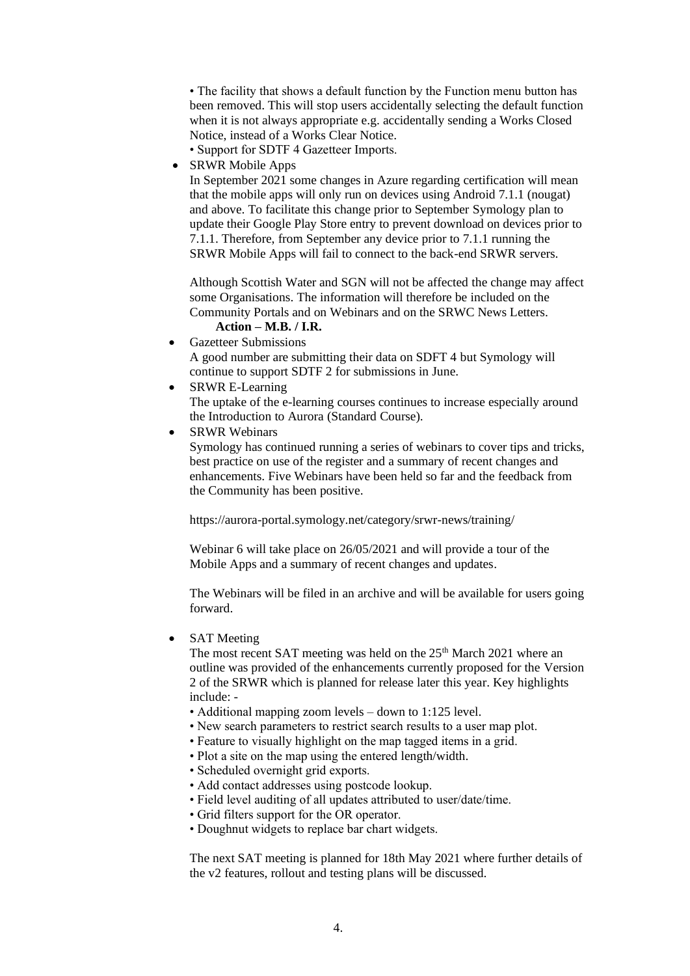• The facility that shows a default function by the Function menu button has been removed. This will stop users accidentally selecting the default function when it is not always appropriate e.g. accidentally sending a Works Closed Notice, instead of a Works Clear Notice.

- Support for SDTF 4 Gazetteer Imports.
- SRWR Mobile Apps

In September 2021 some changes in Azure regarding certification will mean that the mobile apps will only run on devices using Android 7.1.1 (nougat) and above. To facilitate this change prior to September Symology plan to update their Google Play Store entry to prevent download on devices prior to 7.1.1. Therefore, from September any device prior to 7.1.1 running the SRWR Mobile Apps will fail to connect to the back-end SRWR servers.

Although Scottish Water and SGN will not be affected the change may affect some Organisations. The information will therefore be included on the Community Portals and on Webinars and on the SRWC News Letters. **Action – M.B. / I.R.**

- Gazetteer Submissions
- A good number are submitting their data on SDFT 4 but Symology will continue to support SDTF 2 for submissions in June.
- SRWR E-Learning

The uptake of the e-learning courses continues to increase especially around the Introduction to Aurora (Standard Course).

**SRWR Webinars** 

Symology has continued running a series of webinars to cover tips and tricks, best practice on use of the register and a summary of recent changes and enhancements. Five Webinars have been held so far and the feedback from the Community has been positive.

https://aurora-portal.symology.net/category/srwr-news/training/

Webinar 6 will take place on 26/05/2021 and will provide a tour of the Mobile Apps and a summary of recent changes and updates.

The Webinars will be filed in an archive and will be available for users going forward.

**SAT** Meeting

The most recent SAT meeting was held on the 25<sup>th</sup> March 2021 where an outline was provided of the enhancements currently proposed for the Version 2 of the SRWR which is planned for release later this year. Key highlights include: -

- Additional mapping zoom levels down to 1:125 level.
- New search parameters to restrict search results to a user map plot.
- Feature to visually highlight on the map tagged items in a grid.
- Plot a site on the map using the entered length/width.
- Scheduled overnight grid exports.
- Add contact addresses using postcode lookup.
- Field level auditing of all updates attributed to user/date/time.
- Grid filters support for the OR operator.
- Doughnut widgets to replace bar chart widgets.

The next SAT meeting is planned for 18th May 2021 where further details of the v2 features, rollout and testing plans will be discussed.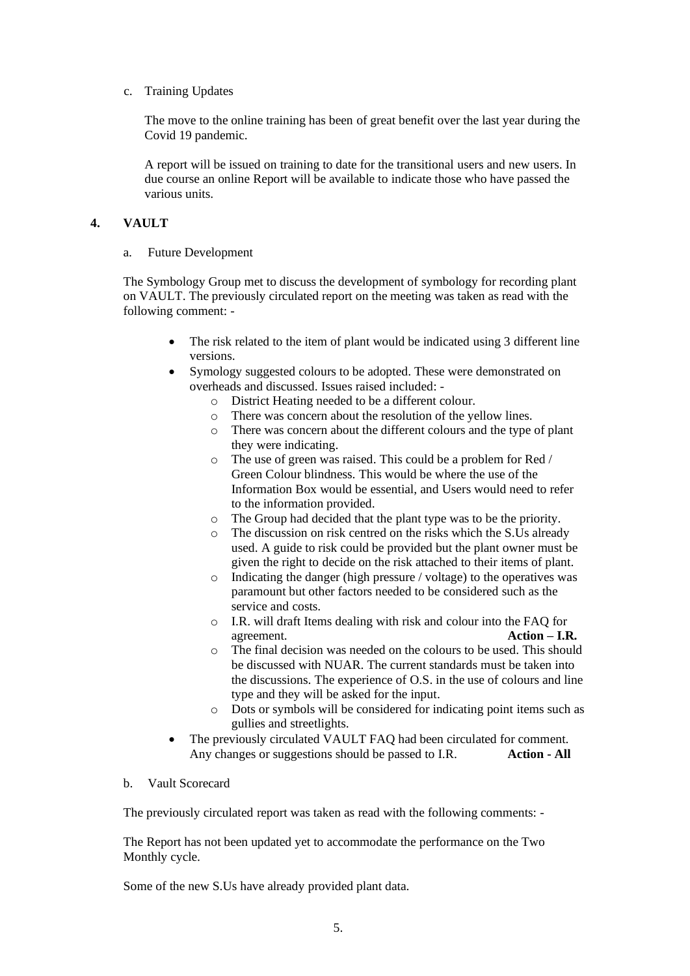c. Training Updates

The move to the online training has been of great benefit over the last year during the Covid 19 pandemic.

A report will be issued on training to date for the transitional users and new users. In due course an online Report will be available to indicate those who have passed the various units.

#### **4. VAULT**

a. Future Development

The Symbology Group met to discuss the development of symbology for recording plant on VAULT. The previously circulated report on the meeting was taken as read with the following comment: -

- The risk related to the item of plant would be indicated using 3 different line versions.
- Symology suggested colours to be adopted. These were demonstrated on overheads and discussed. Issues raised included:
	- o District Heating needed to be a different colour.
	- o There was concern about the resolution of the yellow lines.
	- o There was concern about the different colours and the type of plant they were indicating.
	- o The use of green was raised. This could be a problem for Red / Green Colour blindness. This would be where the use of the Information Box would be essential, and Users would need to refer to the information provided.
	- o The Group had decided that the plant type was to be the priority.
	- o The discussion on risk centred on the risks which the S.Us already used. A guide to risk could be provided but the plant owner must be given the right to decide on the risk attached to their items of plant.
	- o Indicating the danger (high pressure / voltage) to the operatives was paramount but other factors needed to be considered such as the service and costs.
	- o I.R. will draft Items dealing with risk and colour into the FAQ for agreement. **Action – I.R.**
	- $\circ$  The final decision was needed on the colours to be used. This should be discussed with NUAR. The current standards must be taken into the discussions. The experience of O.S. in the use of colours and line type and they will be asked for the input.
	- o Dots or symbols will be considered for indicating point items such as gullies and streetlights.
- The previously circulated VAULT FAQ had been circulated for comment. Any changes or suggestions should be passed to I.R. **Action - All**
- b. Vault Scorecard

The previously circulated report was taken as read with the following comments: -

The Report has not been updated yet to accommodate the performance on the Two Monthly cycle.

Some of the new S.Us have already provided plant data.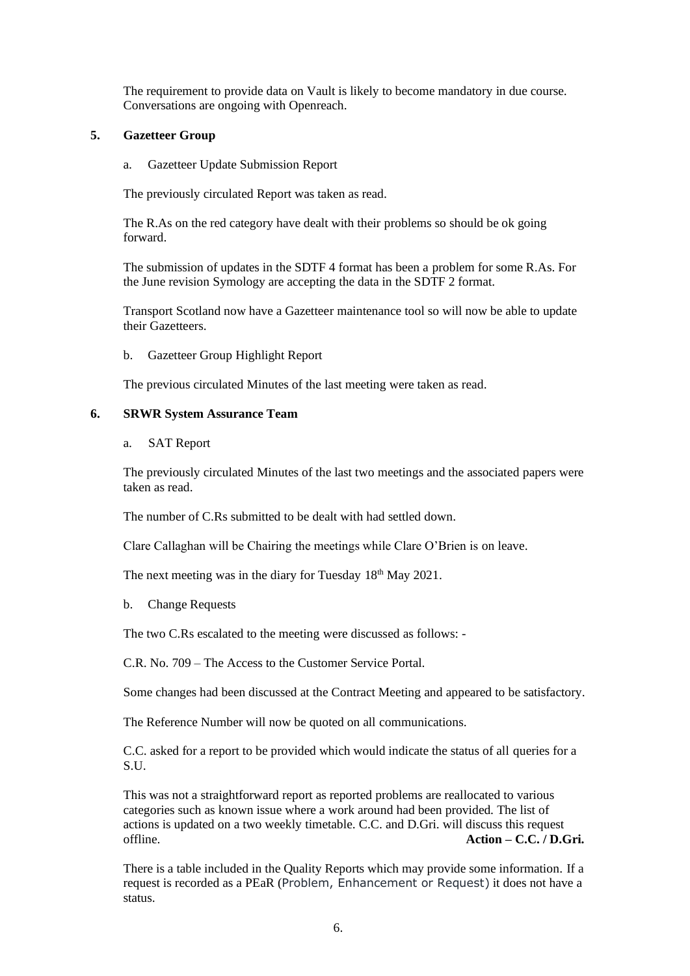The requirement to provide data on Vault is likely to become mandatory in due course. Conversations are ongoing with Openreach.

#### **5. Gazetteer Group**

a. Gazetteer Update Submission Report

The previously circulated Report was taken as read.

The R.As on the red category have dealt with their problems so should be ok going forward.

The submission of updates in the SDTF 4 format has been a problem for some R.As. For the June revision Symology are accepting the data in the SDTF 2 format.

Transport Scotland now have a Gazetteer maintenance tool so will now be able to update their Gazetteers.

b. Gazetteer Group Highlight Report

The previous circulated Minutes of the last meeting were taken as read.

#### **6. SRWR System Assurance Team**

a. SAT Report

The previously circulated Minutes of the last two meetings and the associated papers were taken as read.

The number of C.Rs submitted to be dealt with had settled down.

Clare Callaghan will be Chairing the meetings while Clare O'Brien is on leave.

The next meeting was in the diary for Tuesday 18<sup>th</sup> May 2021.

b. Change Requests

The two C.Rs escalated to the meeting were discussed as follows: -

C.R. No. 709 – The Access to the Customer Service Portal.

Some changes had been discussed at the Contract Meeting and appeared to be satisfactory.

The Reference Number will now be quoted on all communications.

C.C. asked for a report to be provided which would indicate the status of all queries for a S.U.

This was not a straightforward report as reported problems are reallocated to various categories such as known issue where a work around had been provided. The list of actions is updated on a two weekly timetable. C.C. and D.Gri. will discuss this request offline. **Action – C.C. / D.Gri.**

There is a table included in the Quality Reports which may provide some information. If a request is recorded as a PEaR (Problem, Enhancement or Request) it does not have a status.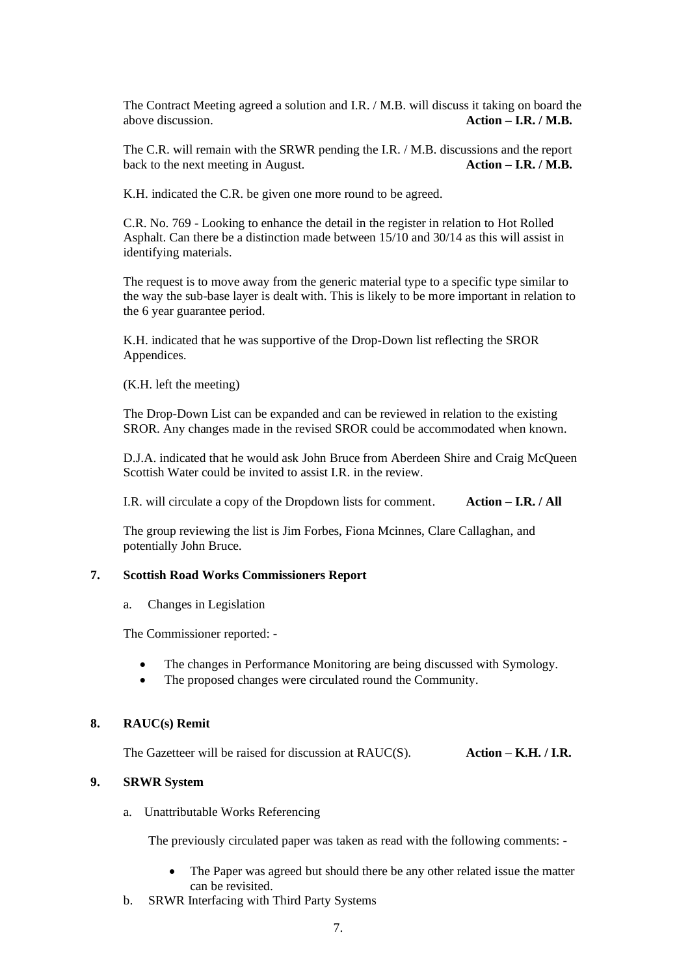The Contract Meeting agreed a solution and I.R. / M.B. will discuss it taking on board the above discussion. **Action – I.R. / M.B.**

The C.R. will remain with the SRWR pending the I.R. / M.B. discussions and the report back to the next meeting in August. **Action – I.R. / M.B.**

K.H. indicated the C.R. be given one more round to be agreed.

C.R. No. 769 - Looking to enhance the detail in the register in relation to Hot Rolled Asphalt. Can there be a distinction made between 15/10 and 30/14 as this will assist in identifying materials.

The request is to move away from the generic material type to a specific type similar to the way the sub-base layer is dealt with. This is likely to be more important in relation to the 6 year guarantee period.

K.H. indicated that he was supportive of the Drop-Down list reflecting the SROR Appendices.

(K.H. left the meeting)

The Drop-Down List can be expanded and can be reviewed in relation to the existing SROR. Any changes made in the revised SROR could be accommodated when known.

D.J.A. indicated that he would ask John Bruce from Aberdeen Shire and Craig McQueen Scottish Water could be invited to assist I.R. in the review.

I.R. will circulate a copy of the Dropdown lists for comment. **Action – I.R. / All**

The group reviewing the list is Jim Forbes, Fiona Mcinnes, Clare Callaghan, and potentially John Bruce.

#### **7. Scottish Road Works Commissioners Report**

a. Changes in Legislation

The Commissioner reported: -

- The changes in Performance Monitoring are being discussed with Symology.
- The proposed changes were circulated round the Community.

#### **8. RAUC(s) Remit**

The Gazetteer will be raised for discussion at RAUC(S). **Action – K.H. / I.R.**

#### **9. SRWR System**

a. Unattributable Works Referencing

The previously circulated paper was taken as read with the following comments: -

- The Paper was agreed but should there be any other related issue the matter can be revisited.
- b. SRWR Interfacing with Third Party Systems